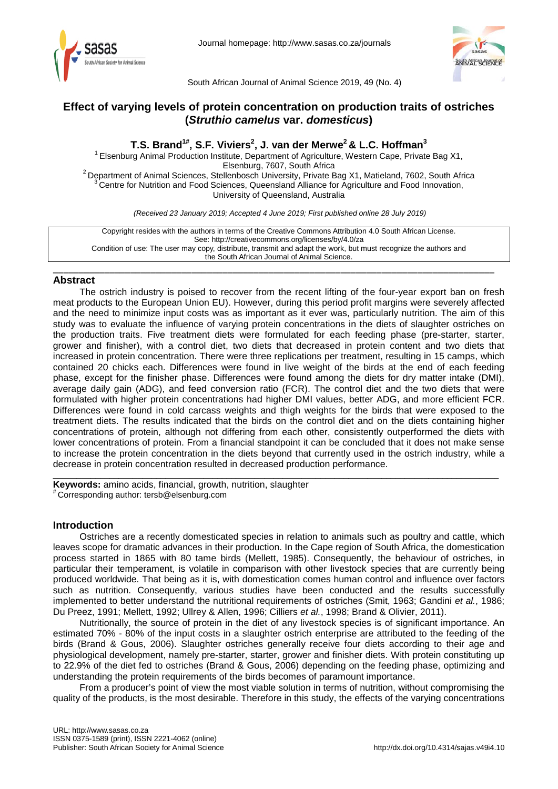



South African Journal of Animal Science 2019, 49 (No. 4)

# **Effect of varying levels of protein concentration on production traits of ostriches (***Struthio camelus* **var.** *domesticus***)**

**T.S. Brand1# , S.F. Viviers2 , J. van der Merwe2 & L.C. Hoffman3** <sup>1</sup> Elsenburg Animal Production Institute, Department of Agriculture, Western Cape, Private Bag X1,<br>Elsenburg, 7607, South Africa <sup>2</sup> Department of Animal Sciences, Stellenbosch University, Private Bag X1, Matieland, 7602, South Africa <sup>3</sup> Centre for Nutrition and Food Sciences, Queensland Alliance for Agriculture and Food Innovation, University of Queensland, Australia

*(Received 23 January 2019; Accepted 4 June 2019; First published online 28 July 2019)*

Copyright resides with the authors in terms of the Creative Commons Attribution 4.0 South African License. See: http://creativecommons.org/licenses/by/4.0/za Condition of use: The user may copy, distribute, transmit and adapt the work, but must recognize the authors and the South African Journal of Animal Science.

## \_\_\_\_\_\_\_\_\_\_\_\_\_\_\_\_\_\_\_\_\_\_\_\_\_\_\_\_\_\_\_\_\_\_\_\_\_\_\_\_\_\_\_\_\_\_\_\_\_\_\_\_\_\_\_\_\_\_\_\_\_\_\_\_\_\_\_\_\_\_\_\_\_\_\_\_\_\_\_\_\_\_\_\_\_\_ **Abstract**

The ostrich industry is poised to recover from the recent lifting of the four-year export ban on fresh meat products to the European Union EU). However, during this period profit margins were severely affected and the need to minimize input costs was as important as it ever was, particularly nutrition. The aim of this study was to evaluate the influence of varying protein concentrations in the diets of slaughter ostriches on the production traits. Five treatment diets were formulated for each feeding phase (pre-starter, starter, grower and finisher), with a control diet, two diets that decreased in protein content and two diets that increased in protein concentration. There were three replications per treatment, resulting in 15 camps, which contained 20 chicks each. Differences were found in live weight of the birds at the end of each feeding phase, except for the finisher phase. Differences were found among the diets for dry matter intake (DMI), average daily gain (ADG), and feed conversion ratio (FCR). The control diet and the two diets that were formulated with higher protein concentrations had higher DMI values, better ADG, and more efficient FCR. Differences were found in cold carcass weights and thigh weights for the birds that were exposed to the treatment diets. The results indicated that the birds on the control diet and on the diets containing higher concentrations of protein, although not differing from each other, consistently outperformed the diets with lower concentrations of protein. From a financial standpoint it can be concluded that it does not make sense to increase the protein concentration in the diets beyond that currently used in the ostrich industry, while a decrease in protein concentration resulted in decreased production performance.

\_\_\_\_\_\_\_\_\_\_\_\_\_\_\_\_\_\_\_\_\_\_\_\_\_\_\_\_\_\_\_\_\_\_\_\_\_\_\_\_\_\_\_\_\_\_\_\_\_\_\_\_\_\_\_\_\_\_\_\_\_\_\_\_\_\_\_\_\_\_\_\_\_\_\_\_\_\_\_\_\_\_\_\_\_\_\_\_\_\_\_\_\_\_\_

**Keywords:** amino acids, financial, growth, nutrition, slaughter # Corresponding author: [tersb@elsenburg.com](mailto:tersb@elsenburg.com)

## **Introduction**

Ostriches are a recently domesticated species in relation to animals such as poultry and cattle, which leaves scope for dramatic advances in their production. In the Cape region of South Africa, the domestication process started in 1865 with 80 tame birds (Mellett, 1985). Consequently, the behaviour of ostriches, in particular their temperament, is volatile in comparison with other livestock species that are currently being produced worldwide. That being as it is, with domestication comes human control and influence over factors such as nutrition. Consequently, various studies have been conducted and the results successfully implemented to better understand the nutritional requirements of ostriches (Smit, 1963; Gandini *et al.*, 1986; Du Preez, 1991; Mellett, 1992; Ullrey & Allen, 1996; Cilliers *et al.*, 1998; Brand & Olivier, 2011).

Nutritionally, the source of protein in the diet of any livestock species is of significant importance. An estimated 70% - 80% of the input costs in a slaughter ostrich enterprise are attributed to the feeding of the birds (Brand & Gous, 2006). Slaughter ostriches generally receive four diets according to their age and physiological development, namely pre-starter, starter, grower and finisher diets. With protein constituting up to 22.9% of the diet fed to ostriches (Brand & Gous, 2006) depending on the feeding phase, optimizing and understanding the protein requirements of the birds becomes of paramount importance.

From a producer's point of view the most viable solution in terms of nutrition, without compromising the quality of the products, is the most desirable. Therefore in this study, the effects of the varying concentrations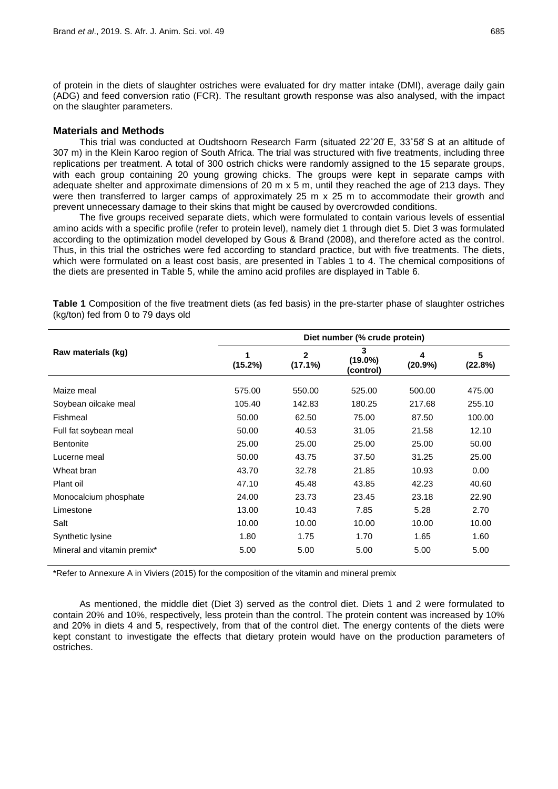of protein in the diets of slaughter ostriches were evaluated for dry matter intake (DMI), average daily gain (ADG) and feed conversion ratio (FCR). The resultant growth response was also analysed, with the impact on the slaughter parameters.

### **Materials and Methods**

This trial was conducted at Oudtshoorn Research Farm (situated 22˚20̓ E, 33˚58̓ S at an altitude of 307 m) in the Klein Karoo region of South Africa. The trial was structured with five treatments, including three replications per treatment. A total of 300 ostrich chicks were randomly assigned to the 15 separate groups, with each group containing 20 young growing chicks. The groups were kept in separate camps with adequate shelter and approximate dimensions of 20 m x 5 m, until they reached the age of 213 days. They were then transferred to larger camps of approximately 25 m x 25 m to accommodate their growth and prevent unnecessary damage to their skins that might be caused by overcrowded conditions.

The five groups received separate diets, which were formulated to contain various levels of essential amino acids with a specific profile (refer to protein level), namely diet 1 through diet 5. Diet 3 was formulated according to the optimization model developed by Gous & Brand (2008), and therefore acted as the control. Thus, in this trial the ostriches were fed according to standard practice, but with five treatments. The diets, which were formulated on a least cost basis, are presented in Tables 1 to 4. The chemical compositions of the diets are presented in Table 5, while the amino acid profiles are displayed in Table 6.

|                             | Diet number (% crude protein) |                            |                              |                 |              |  |  |  |
|-----------------------------|-------------------------------|----------------------------|------------------------------|-----------------|--------------|--|--|--|
| Raw materials (kg)          | (15.2%)                       | $\mathbf{2}$<br>$(17.1\%)$ | 3<br>$(19.0\%)$<br>(control) | 4<br>$(20.9\%)$ | 5<br>(22.8%) |  |  |  |
| Maize meal                  | 575.00                        | 550.00                     | 525.00                       | 500.00          | 475.00       |  |  |  |
| Soybean oilcake meal        | 105.40                        | 142.83                     | 180.25                       | 217.68          | 255.10       |  |  |  |
| Fishmeal                    | 50.00                         | 62.50                      | 75.00                        | 87.50           | 100.00       |  |  |  |
| Full fat soybean meal       | 50.00                         | 40.53                      | 31.05                        | 21.58           | 12.10        |  |  |  |
| <b>Bentonite</b>            | 25.00                         | 25.00                      | 25.00                        | 25.00           | 50.00        |  |  |  |
| Lucerne meal                | 50.00                         | 43.75                      | 37.50                        | 31.25           | 25.00        |  |  |  |
| Wheat bran                  | 43.70                         | 32.78                      | 21.85                        | 10.93           | 0.00         |  |  |  |
| Plant oil                   | 47.10                         | 45.48                      | 43.85                        | 42.23           | 40.60        |  |  |  |
| Monocalcium phosphate       | 24.00                         | 23.73                      | 23.45                        | 23.18           | 22.90        |  |  |  |
| Limestone                   | 13.00                         | 10.43                      | 7.85                         | 5.28            | 2.70         |  |  |  |
| Salt                        | 10.00                         | 10.00                      | 10.00                        | 10.00           | 10.00        |  |  |  |
| Synthetic lysine            | 1.80                          | 1.75                       | 1.70                         | 1.65            | 1.60         |  |  |  |
| Mineral and vitamin premix* | 5.00                          | 5.00                       | 5.00                         | 5.00            | 5.00         |  |  |  |

**Table 1** Composition of the five treatment diets (as fed basis) in the pre-starter phase of slaughter ostriches (kg/ton) fed from 0 to 79 days old

\*Refer to Annexure A in Viviers (2015) for the composition of the vitamin and mineral premix

As mentioned, the middle diet (Diet 3) served as the control diet. Diets 1 and 2 were formulated to contain 20% and 10%, respectively, less protein than the control. The protein content was increased by 10% and 20% in diets 4 and 5, respectively, from that of the control diet. The energy contents of the diets were kept constant to investigate the effects that dietary protein would have on the production parameters of ostriches.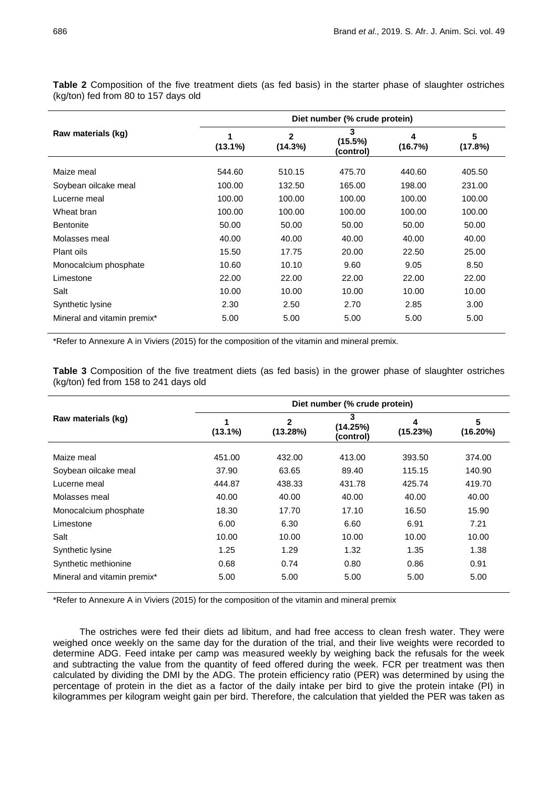|                             | Diet number (% crude protein) |                         |                           |              |              |  |  |  |  |
|-----------------------------|-------------------------------|-------------------------|---------------------------|--------------|--------------|--|--|--|--|
| Raw materials (kg)          | $(13.1\%)$                    | $\mathbf{2}$<br>(14.3%) | 3<br>(15.5%)<br>(control) | 4<br>(16.7%) | 5<br>(17.8%) |  |  |  |  |
| Maize meal                  | 544.60                        | 510.15                  | 475.70                    | 440.60       | 405.50       |  |  |  |  |
| Soybean oilcake meal        | 100.00                        | 132.50                  | 165.00                    | 198.00       | 231.00       |  |  |  |  |
| Lucerne meal                | 100.00                        | 100.00                  | 100.00                    | 100.00       | 100.00       |  |  |  |  |
| Wheat bran                  | 100.00                        | 100.00                  | 100.00                    | 100.00       | 100.00       |  |  |  |  |
| <b>Bentonite</b>            | 50.00                         | 50.00                   | 50.00                     | 50.00        | 50.00        |  |  |  |  |
| Molasses meal               | 40.00                         | 40.00                   | 40.00                     | 40.00        | 40.00        |  |  |  |  |
| Plant oils                  | 15.50                         | 17.75                   | 20.00                     | 22.50        | 25.00        |  |  |  |  |
| Monocalcium phosphate       | 10.60                         | 10.10                   | 9.60                      | 9.05         | 8.50         |  |  |  |  |
| Limestone                   | 22.00                         | 22.00                   | 22.00                     | 22.00        | 22.00        |  |  |  |  |
| Salt                        | 10.00                         | 10.00                   | 10.00                     | 10.00        | 10.00        |  |  |  |  |
| Synthetic lysine            | 2.30                          | 2.50                    | 2.70                      | 2.85         | 3.00         |  |  |  |  |
| Mineral and vitamin premix* | 5.00                          | 5.00                    | 5.00                      | 5.00         | 5.00         |  |  |  |  |

**Table 2** Composition of the five treatment diets (as fed basis) in the starter phase of slaughter ostriches (kg/ton) fed from 80 to 157 days old

\*Refer to Annexure A in Viviers (2015) for the composition of the vitamin and mineral premix.

**Table 3** Composition of the five treatment diets (as fed basis) in the grower phase of slaughter ostriches (kg/ton) fed from 158 to 241 days old

|                             | Diet number (% crude protein) |                          |                            |               |               |  |  |  |  |
|-----------------------------|-------------------------------|--------------------------|----------------------------|---------------|---------------|--|--|--|--|
| Raw materials (kg)          | 1<br>$(13.1\%)$               | $\mathbf{2}$<br>(13.28%) | 3<br>(14.25%)<br>(control) | 4<br>(15.23%) | 5<br>(16.20%) |  |  |  |  |
| Maize meal                  | 451.00                        | 432.00                   | 413.00                     | 393.50        | 374.00        |  |  |  |  |
| Soybean oilcake meal        | 37.90                         | 63.65                    | 89.40                      | 115.15        | 140.90        |  |  |  |  |
| Lucerne meal                | 444.87                        | 438.33                   | 431.78                     | 425.74        | 419.70        |  |  |  |  |
| Molasses meal               | 40.00                         | 40.00                    | 40.00                      | 40.00         | 40.00         |  |  |  |  |
| Monocalcium phosphate       | 18.30                         | 17.70                    | 17.10                      | 16.50         | 15.90         |  |  |  |  |
| Limestone                   | 6.00                          | 6.30                     | 6.60                       | 6.91          | 7.21          |  |  |  |  |
| Salt                        | 10.00                         | 10.00                    | 10.00                      | 10.00         | 10.00         |  |  |  |  |
| Synthetic lysine            | 1.25                          | 1.29                     | 1.32                       | 1.35          | 1.38          |  |  |  |  |
| Synthetic methionine        | 0.68                          | 0.74                     | 0.80                       | 0.86          | 0.91          |  |  |  |  |
| Mineral and vitamin premix* | 5.00                          | 5.00                     | 5.00                       | 5.00          | 5.00          |  |  |  |  |

\*Refer to Annexure A in Viviers (2015) for the composition of the vitamin and mineral premix

The ostriches were fed their diets ad libitum, and had free access to clean fresh water. They were weighed once weekly on the same day for the duration of the trial, and their live weights were recorded to determine ADG. Feed intake per camp was measured weekly by weighing back the refusals for the week and subtracting the value from the quantity of feed offered during the week. FCR per treatment was then calculated by dividing the DMI by the ADG. The protein efficiency ratio (PER) was determined by using the percentage of protein in the diet as a factor of the daily intake per bird to give the protein intake (PI) in kilogrammes per kilogram weight gain per bird. Therefore, the calculation that yielded the PER was taken as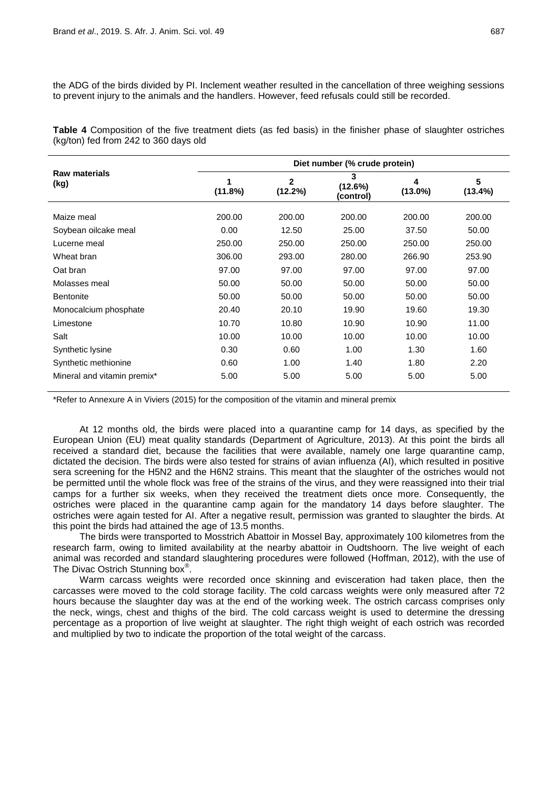the ADG of the birds divided by PI. Inclement weather resulted in the cancellation of three weighing sessions to prevent injury to the animals and the handlers. However, feed refusals could still be recorded.

**Table 4** Composition of the five treatment diets (as fed basis) in the finisher phase of slaughter ostriches (kg/ton) fed from 242 to 360 days old

|                              | Diet number (% crude protein) |                         |                           |                 |              |  |  |  |  |
|------------------------------|-------------------------------|-------------------------|---------------------------|-----------------|--------------|--|--|--|--|
| <b>Raw materials</b><br>(kg) | (11.8%)                       | $\mathbf{2}$<br>(12.2%) | 3<br>(12.6%)<br>(control) | 4<br>$(13.0\%)$ | 5<br>(13.4%) |  |  |  |  |
| Maize meal                   | 200.00                        | 200.00                  | 200.00                    | 200.00          | 200.00       |  |  |  |  |
| Soybean oilcake meal         | 0.00                          | 12.50                   | 25.00                     | 37.50           | 50.00        |  |  |  |  |
| Lucerne meal                 | 250.00                        | 250.00                  | 250.00                    | 250.00          | 250.00       |  |  |  |  |
| Wheat bran                   | 306.00                        | 293.00                  | 280.00                    | 266.90          | 253.90       |  |  |  |  |
| Oat bran                     | 97.00                         | 97.00                   | 97.00                     | 97.00           | 97.00        |  |  |  |  |
| Molasses meal                | 50.00                         | 50.00                   | 50.00                     | 50.00           | 50.00        |  |  |  |  |
| <b>Bentonite</b>             | 50.00                         | 50.00                   | 50.00                     | 50.00           | 50.00        |  |  |  |  |
| Monocalcium phosphate        | 20.40                         | 20.10                   | 19.90                     | 19.60           | 19.30        |  |  |  |  |
| Limestone                    | 10.70                         | 10.80                   | 10.90                     | 10.90           | 11.00        |  |  |  |  |
| Salt                         | 10.00                         | 10.00                   | 10.00                     | 10.00           | 10.00        |  |  |  |  |
| Synthetic lysine             | 0.30                          | 0.60                    | 1.00                      | 1.30            | 1.60         |  |  |  |  |
| Synthetic methionine         | 0.60                          | 1.00                    | 1.40                      | 1.80            | 2.20         |  |  |  |  |
| Mineral and vitamin premix*  | 5.00                          | 5.00                    | 5.00                      | 5.00            | 5.00         |  |  |  |  |

\*Refer to Annexure A in Viviers (2015) for the composition of the vitamin and mineral premix

At 12 months old, the birds were placed into a quarantine camp for 14 days, as specified by the European Union (EU) meat quality standards (Department of Agriculture, 2013). At this point the birds all received a standard diet, because the facilities that were available, namely one large quarantine camp, dictated the decision. The birds were also tested for strains of avian influenza (AI), which resulted in positive sera screening for the H5N2 and the H6N2 strains. This meant that the slaughter of the ostriches would not be permitted until the whole flock was free of the strains of the virus, and they were reassigned into their trial camps for a further six weeks, when they received the treatment diets once more. Consequently, the ostriches were placed in the quarantine camp again for the mandatory 14 days before slaughter. The ostriches were again tested for AI. After a negative result, permission was granted to slaughter the birds. At this point the birds had attained the age of 13.5 months.

The birds were transported to Mosstrich Abattoir in Mossel Bay, approximately 100 kilometres from the research farm, owing to limited availability at the nearby abattoir in Oudtshoorn. The live weight of each animal was recorded and standard slaughtering procedures were followed (Hoffman, 2012), with the use of The Divac Ostrich Stunning box<sup>®</sup>.

Warm carcass weights were recorded once skinning and evisceration had taken place, then the carcasses were moved to the cold storage facility. The cold carcass weights were only measured after 72 hours because the slaughter day was at the end of the working week. The ostrich carcass comprises only the neck, wings, chest and thighs of the bird. The cold carcass weight is used to determine the dressing percentage as a proportion of live weight at slaughter. The right thigh weight of each ostrich was recorded and multiplied by two to indicate the proportion of the total weight of the carcass.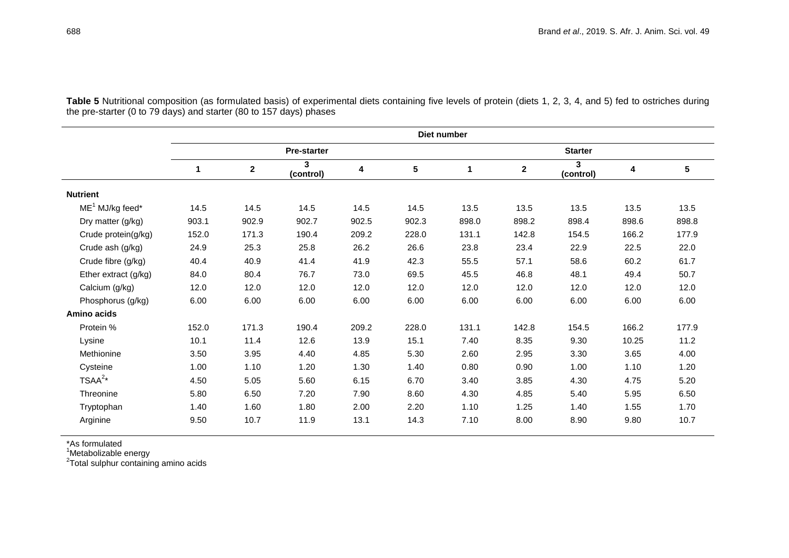|                      | Diet number |             |                    |       |                 |       |                |                |       |       |
|----------------------|-------------|-------------|--------------------|-------|-----------------|-------|----------------|----------------|-------|-------|
|                      |             |             | <b>Pre-starter</b> |       |                 |       | <b>Starter</b> |                |       |       |
|                      | 1           | $\mathbf 2$ | 3<br>(control)     | 4     | $5\phantom{.0}$ | 1     | $\mathbf 2$    | 3<br>(control) | 4     | 5     |
| <b>Nutrient</b>      |             |             |                    |       |                 |       |                |                |       |       |
| $ME1$ MJ/kg feed*    | 14.5        | 14.5        | 14.5               | 14.5  | 14.5            | 13.5  | 13.5           | 13.5           | 13.5  | 13.5  |
| Dry matter (g/kg)    | 903.1       | 902.9       | 902.7              | 902.5 | 902.3           | 898.0 | 898.2          | 898.4          | 898.6 | 898.8 |
| Crude protein(g/kg)  | 152.0       | 171.3       | 190.4              | 209.2 | 228.0           | 131.1 | 142.8          | 154.5          | 166.2 | 177.9 |
| Crude ash (g/kg)     | 24.9        | 25.3        | 25.8               | 26.2  | 26.6            | 23.8  | 23.4           | 22.9           | 22.5  | 22.0  |
| Crude fibre (g/kg)   | 40.4        | 40.9        | 41.4               | 41.9  | 42.3            | 55.5  | 57.1           | 58.6           | 60.2  | 61.7  |
| Ether extract (g/kg) | 84.0        | 80.4        | 76.7               | 73.0  | 69.5            | 45.5  | 46.8           | 48.1           | 49.4  | 50.7  |
| Calcium (g/kg)       | 12.0        | 12.0        | 12.0               | 12.0  | 12.0            | 12.0  | 12.0           | 12.0           | 12.0  | 12.0  |
| Phosphorus (g/kg)    | 6.00        | 6.00        | 6.00               | 6.00  | 6.00            | 6.00  | 6.00           | 6.00           | 6.00  | 6.00  |
| Amino acids          |             |             |                    |       |                 |       |                |                |       |       |
| Protein %            | 152.0       | 171.3       | 190.4              | 209.2 | 228.0           | 131.1 | 142.8          | 154.5          | 166.2 | 177.9 |
| Lysine               | 10.1        | 11.4        | 12.6               | 13.9  | 15.1            | 7.40  | 8.35           | 9.30           | 10.25 | 11.2  |
| Methionine           | 3.50        | 3.95        | 4.40               | 4.85  | 5.30            | 2.60  | 2.95           | 3.30           | 3.65  | 4.00  |
| Cysteine             | 1.00        | 1.10        | 1.20               | 1.30  | 1.40            | 0.80  | 0.90           | 1.00           | 1.10  | 1.20  |
| $TSAA^{2*}$          | 4.50        | 5.05        | 5.60               | 6.15  | 6.70            | 3.40  | 3.85           | 4.30           | 4.75  | 5.20  |
| Threonine            | 5.80        | 6.50        | 7.20               | 7.90  | 8.60            | 4.30  | 4.85           | 5.40           | 5.95  | 6.50  |
| Tryptophan           | 1.40        | 1.60        | 1.80               | 2.00  | 2.20            | 1.10  | 1.25           | 1.40           | 1.55  | 1.70  |
| Arginine             | 9.50        | 10.7        | 11.9               | 13.1  | 14.3            | 7.10  | 8.00           | 8.90           | 9.80  | 10.7  |

Table 5 Nutritional composition (as formulated basis) of experimental diets containing five levels of protein (diets 1, 2, 3, 4, and 5) fed to ostriches during the pre-starter (0 to 79 days) and starter (80 to 157 days) phases

\*As formulated<br><sup>1</sup>Metabolizable energy<br><sup>2</sup>Total sulphur containing amino acids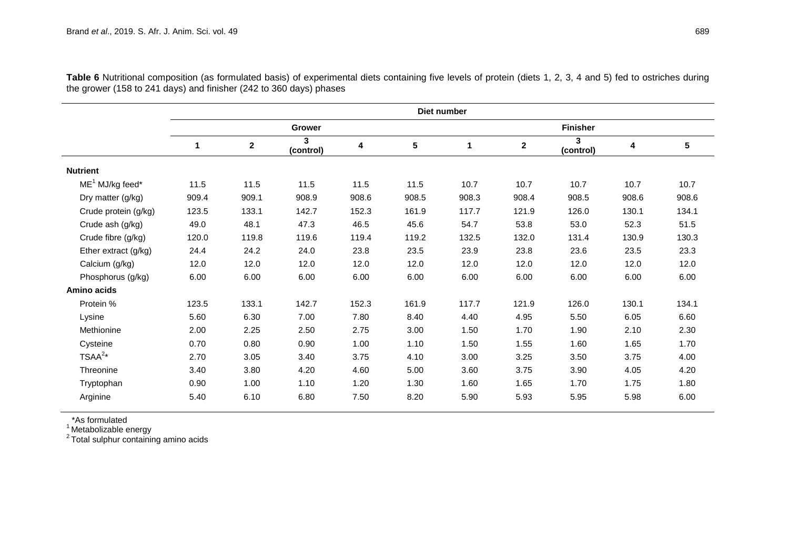|                      | Diet number |             |                |       |       |                 |              |                |       |       |
|----------------------|-------------|-------------|----------------|-------|-------|-----------------|--------------|----------------|-------|-------|
|                      |             |             | Grower         |       |       | <b>Finisher</b> |              |                |       |       |
|                      | 1           | $\mathbf 2$ | 3<br>(control) | 4     | 5     | 1               | $\mathbf{2}$ | 3<br>(control) | 4     | 5     |
| <b>Nutrient</b>      |             |             |                |       |       |                 |              |                |       |       |
| $ME1$ MJ/kg feed*    | 11.5        | 11.5        | 11.5           | 11.5  | 11.5  | 10.7            | 10.7         | 10.7           | 10.7  | 10.7  |
| Dry matter (g/kg)    | 909.4       | 909.1       | 908.9          | 908.6 | 908.5 | 908.3           | 908.4        | 908.5          | 908.6 | 908.6 |
| Crude protein (g/kg) | 123.5       | 133.1       | 142.7          | 152.3 | 161.9 | 117.7           | 121.9        | 126.0          | 130.1 | 134.1 |
| Crude ash (g/kg)     | 49.0        | 48.1        | 47.3           | 46.5  | 45.6  | 54.7            | 53.8         | 53.0           | 52.3  | 51.5  |
| Crude fibre (g/kg)   | 120.0       | 119.8       | 119.6          | 119.4 | 119.2 | 132.5           | 132.0        | 131.4          | 130.9 | 130.3 |
| Ether extract (g/kg) | 24.4        | 24.2        | 24.0           | 23.8  | 23.5  | 23.9            | 23.8         | 23.6           | 23.5  | 23.3  |
| Calcium (g/kg)       | 12.0        | 12.0        | 12.0           | 12.0  | 12.0  | 12.0            | 12.0         | 12.0           | 12.0  | 12.0  |
| Phosphorus (g/kg)    | 6.00        | 6.00        | 6.00           | 6.00  | 6.00  | 6.00            | 6.00         | 6.00           | 6.00  | 6.00  |
| Amino acids          |             |             |                |       |       |                 |              |                |       |       |
| Protein %            | 123.5       | 133.1       | 142.7          | 152.3 | 161.9 | 117.7           | 121.9        | 126.0          | 130.1 | 134.1 |
| Lysine               | 5.60        | 6.30        | 7.00           | 7.80  | 8.40  | 4.40            | 4.95         | 5.50           | 6.05  | 6.60  |
| Methionine           | 2.00        | 2.25        | 2.50           | 2.75  | 3.00  | 1.50            | 1.70         | 1.90           | 2.10  | 2.30  |
| Cysteine             | 0.70        | 0.80        | 0.90           | 1.00  | 1.10  | 1.50            | 1.55         | 1.60           | 1.65  | 1.70  |
| $TSAA^{2*}$          | 2.70        | 3.05        | 3.40           | 3.75  | 4.10  | 3.00            | 3.25         | 3.50           | 3.75  | 4.00  |
| Threonine            | 3.40        | 3.80        | 4.20           | 4.60  | 5.00  | 3.60            | 3.75         | 3.90           | 4.05  | 4.20  |
| Tryptophan           | 0.90        | 1.00        | 1.10           | 1.20  | 1.30  | 1.60            | 1.65         | 1.70           | 1.75  | 1.80  |
| Arginine             | 5.40        | 6.10        | 6.80           | 7.50  | 8.20  | 5.90            | 5.93         | 5.95           | 5.98  | 6.00  |

Table 6 Nutritional composition (as formulated basis) of experimental diets containing five levels of protein (diets 1, 2, 3, 4 and 5) fed to ostriches during the grower (158 to 241 days) and finisher (242 to 360 days) phases

\*As formulated

 $^{\rm 1}$ Metabolizable energy<br><sup>2</sup> Total sulphur containing amino acids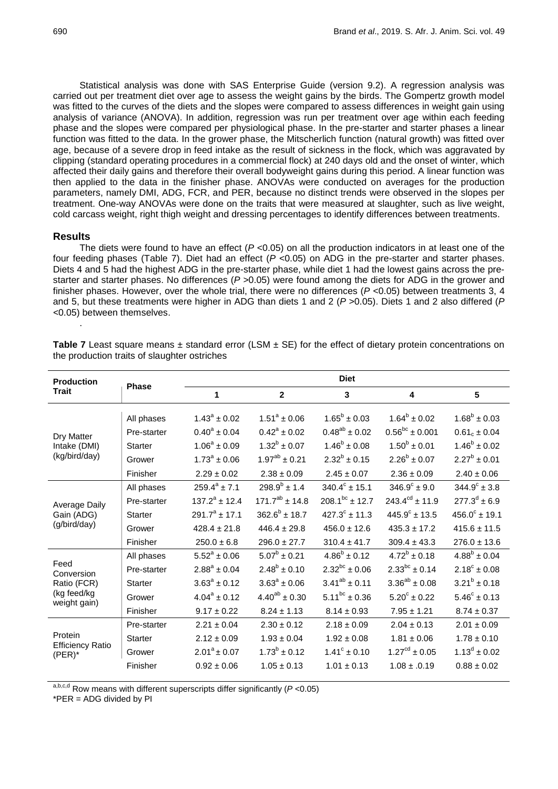Statistical analysis was done with SAS Enterprise Guide (version 9.2). A regression analysis was carried out per treatment diet over age to assess the weight gains by the birds. The Gompertz growth model was fitted to the curves of the diets and the slopes were compared to assess differences in weight gain using analysis of variance (ANOVA). In addition, regression was run per treatment over age within each feeding phase and the slopes were compared per physiological phase. In the pre-starter and starter phases a linear function was fitted to the data. In the grower phase, the Mitscherlich function (natural growth) was fitted over age, because of a severe drop in feed intake as the result of sickness in the flock, which was aggravated by clipping (standard operating procedures in a commercial flock) at 240 days old and the onset of winter, which affected their daily gains and therefore their overall bodyweight gains during this period. A linear function was then applied to the data in the finisher phase. ANOVAs were conducted on averages for the production parameters, namely DMI, ADG, FCR, and PER, because no distinct trends were observed in the slopes per treatment. One-way ANOVAs were done on the traits that were measured at slaughter, such as live weight, cold carcass weight, right thigh weight and dressing percentages to identify differences between treatments.

## **Results**

.

The diets were found to have an effect  $(P < 0.05)$  on all the production indicators in at least one of the four feeding phases (Table 7). Diet had an effect (*P* <0.05) on ADG in the pre-starter and starter phases. Diets 4 and 5 had the highest ADG in the pre-starter phase, while diet 1 had the lowest gains across the prestarter and starter phases. No differences (*P >*0.05) were found among the diets for ADG in the grower and finisher phases. However, over the whole trial, there were no differences (*P <*0.05) between treatments 3, 4 and 5, but these treatments were higher in ADG than diets 1 and 2 (*P* >0.05). Diets 1 and 2 also differed (*P <*0.05) between themselves.

|                | <b>Diet</b>        |                      |                         |                              |                         |  |  |
|----------------|--------------------|----------------------|-------------------------|------------------------------|-------------------------|--|--|
|                | 1                  | $\overline{2}$       | 3                       | 4                            | 5                       |  |  |
| All phases     | $1.43^a \pm 0.02$  | $1.51^a \pm 0.06$    | $1.65^b \pm 0.03$       | $1.64^b \pm 0.02$            | $1.68^b \pm 0.03$       |  |  |
| Pre-starter    | $0.40^a \pm 0.04$  | $0.42^a \pm 0.02$    | $0.48^{ab} \pm 0.02$    | $0.56^{bc} \pm 0.001$        | $0.61_c \pm 0.04$       |  |  |
| <b>Starter</b> | $1.06^a \pm 0.09$  | $1.32^b \pm 0.07$    | $1.46^b \pm 0.08$       | $1.50^b \pm 0.01$            | $1.46^b \pm 0.02$       |  |  |
| Grower         | $1.73^a \pm 0.06$  | $1.97^{ab} \pm 0.21$ | $2.32^b \pm 0.15$       | $2.26^b \pm 0.07$            | $2.27^b \pm 0.01$       |  |  |
| Finisher       | $2.29 \pm 0.02$    | $2.38 \pm 0.09$      | $2.45 \pm 0.07$         | $2.36 \pm 0.09$              | $2.40 \pm 0.06$         |  |  |
| All phases     | $259.4^a \pm 7.1$  | $298.9^{b}$ ± 1.4    | $340.4^c \pm 15.1$      | $346.9^{\circ} \pm 9.0$      | $344.9^{\circ} \pm 3.8$ |  |  |
| Pre-starter    | $137.2^a + 12.4$   | $171.7^{ab}$ ± 14.8  | $208.1^{bc}$ ± 12.7     | $243.4^{\text{cd}} \pm 11.9$ | $277.3^d \pm 6.9$       |  |  |
| <b>Starter</b> | $291.7^a \pm 17.1$ | $362.6^b \pm 18.7$   | $427.3^{\circ}$ ± 11.3  | $445.9^{\circ}$ ± 13.5       | $456.0^{\circ}$ ± 19.1  |  |  |
| Grower         | $428.4 \pm 21.8$   | $446.4 \pm 29.8$     | $456.0 \pm 12.6$        | $435.3 \pm 17.2$             | $415.6 \pm 11.5$        |  |  |
| Finisher       | $250.0 \pm 6.8$    | $296.0 \pm 27.7$     | $310.4 \pm 41.7$        | $309.4 \pm 43.3$             | $276.0 \pm 13.6$        |  |  |
| All phases     | $5.52^a \pm 0.06$  | $5.07^b \pm 0.21$    | $4.86^b \pm 0.12$       | $4.72^b \pm 0.18$            | $4.88^b \pm 0.04$       |  |  |
| Pre-starter    | $2.88^a \pm 0.04$  | $2.48^b \pm 0.10$    | $2.32^{bc} \pm 0.06$    | $2.33^{bc} \pm 0.14$         | $2.18^c \pm 0.08$       |  |  |
| <b>Starter</b> | $3.63^a \pm 0.12$  | $3.63^a \pm 0.06$    | $3.41^{ab} \pm 0.11$    | $3.36^{ab} \pm 0.08$         | $3.21^b \pm 0.18$       |  |  |
| Grower         | $4.04^a \pm 0.12$  | $4.40^{ab} \pm 0.30$ | $5.11^{bc}$ ± 0.36      | $5.20^{\circ} \pm 0.22$      | $5.46^{\circ} \pm 0.13$ |  |  |
| Finisher       | $9.17 \pm 0.22$    | $8.24 \pm 1.13$      | $8.14 \pm 0.93$         | $7.95 \pm 1.21$              | $8.74 \pm 0.37$         |  |  |
| Pre-starter    | $2.21 \pm 0.04$    | $2.30 \pm 0.12$      | $2.18 \pm 0.09$         | $2.04 \pm 0.13$              | $2.01 \pm 0.09$         |  |  |
| <b>Starter</b> | $2.12 \pm 0.09$    | $1.93 \pm 0.04$      | $1.92 \pm 0.08$         | $1.81 \pm 0.06$              | $1.78 \pm 0.10$         |  |  |
| Grower         | $2.01^a \pm 0.07$  | $1.73^b \pm 0.12$    | $1.41^{\circ} \pm 0.10$ | $1.27^{cd} \pm 0.05$         | $1.13^d \pm 0.02$       |  |  |
| Finisher       | $0.92 \pm 0.06$    | $1.05 \pm 0.13$      | $1.01 \pm 0.13$         | $1.08 \pm .0.19$             | $0.88 \pm 0.02$         |  |  |
|                | <b>Phase</b>       |                      |                         |                              |                         |  |  |

**Table 7** Least square means  $\pm$  standard error (LSM  $\pm$  SE) for the effect of dietary protein concentrations on the production traits of slaughter ostriches

a,b,c,d Row means with different superscripts differ significantly (*P* <0.05)

 $*PER = ADC$  divided by  $PI$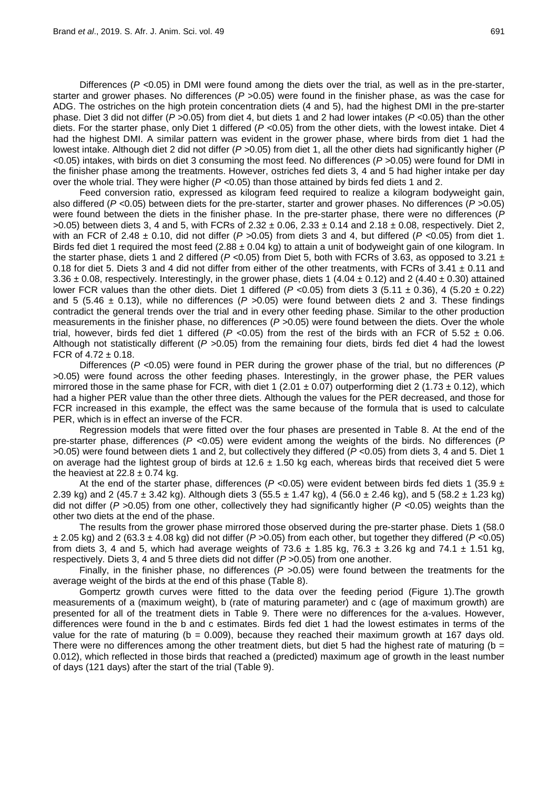Differences (*P <*0.05) in DMI were found among the diets over the trial, as well as in the pre-starter, starter and grower phases. No differences (*P >*0.05) were found in the finisher phase, as was the case for ADG. The ostriches on the high protein concentration diets (4 and 5), had the highest DMI in the pre-starter phase. Diet 3 did not differ (*P >*0.05) from diet 4, but diets 1 and 2 had lower intakes (*P <*0.05) than the other diets. For the starter phase, only Diet 1 differed (*P <*0.05) from the other diets, with the lowest intake. Diet 4 had the highest DMI. A similar pattern was evident in the grower phase, where birds from diet 1 had the lowest intake. Although diet 2 did not differ (*P >*0.05) from diet 1, all the other diets had significantly higher (*P <*0.05) intakes, with birds on diet 3 consuming the most feed. No differences (*P >*0.05) were found for DMI in the finisher phase among the treatments. However, ostriches fed diets 3, 4 and 5 had higher intake per day over the whole trial. They were higher (*P <*0.05) than those attained by birds fed diets 1 and 2.

Feed conversion ratio, expressed as kilogram feed required to realize a kilogram bodyweight gain, also differed (*P <*0.05) between diets for the pre-starter, starter and grower phases. No differences (*P >*0.05) were found between the diets in the finisher phase. In the pre-starter phase, there were no differences (*P >*0.05) between diets 3, 4 and 5, with FCRs of 2.32 ± 0.06, 2.33 ± 0.14 and 2.18 ± 0.08, respectively. Diet 2, with an FCR of 2.48 ± 0.10, did not differ (*P >*0.05) from diets 3 and 4, but differed (*P <*0.05) from diet 1. Birds fed diet 1 required the most feed  $(2.88 \pm 0.04 \text{ kg})$  to attain a unit of bodyweight gain of one kilogram. In the starter phase, diets 1 and 2 differed (*P <*0.05) from Diet 5, both with FCRs of 3.63, as opposed to 3.21 ± 0.18 for diet 5. Diets 3 and 4 did not differ from either of the other treatments, with FCRs of  $3.41 \pm 0.11$  and 3.36  $\pm$  0.08, respectively. Interestingly, in the grower phase, diets 1 (4.04  $\pm$  0.12) and 2 (4.40  $\pm$  0.30) attained lower FCR values than the other diets. Diet 1 differed (*P <*0.05) from diets 3 (5.11 ± 0.36), 4 (5.20 ± 0.22) and 5 (5.46 ± 0.13), while no differences (*P >*0.05) were found between diets 2 and 3. These findings contradict the general trends over the trial and in every other feeding phase. Similar to the other production measurements in the finisher phase, no differences (*P >*0.05) were found between the diets. Over the whole trial, however, birds fed diet 1 differed (*P <*0.05) from the rest of the birds with an FCR of 5.52 ± 0.06. Although not statistically different (*P >*0.05) from the remaining four diets, birds fed diet 4 had the lowest FCR of  $4.72 \pm 0.18$ .

Differences (*P <*0.05) were found in PER during the grower phase of the trial, but no differences (*P >*0.05) were found across the other feeding phases. Interestingly, in the grower phase, the PER values mirrored those in the same phase for FCR, with diet 1 (2.01  $\pm$  0.07) outperforming diet 2 (1.73  $\pm$  0.12), which had a higher PER value than the other three diets. Although the values for the PER decreased, and those for FCR increased in this example, the effect was the same because of the formula that is used to calculate PER, which is in effect an inverse of the FCR.

Regression models that were fitted over the four phases are presented in Table 8. At the end of the pre-starter phase, differences (*P <*0.05) were evident among the weights of the birds. No differences (*P >*0.05) were found between diets 1 and 2, but collectively they differed (*P <*0.05) from diets 3, 4 and 5. Diet 1 on average had the lightest group of birds at 12.6  $\pm$  1.50 kg each, whereas birds that received diet 5 were the heaviest at  $22.8 \pm 0.74$  kg.

At the end of the starter phase, differences (*P <*0.05) were evident between birds fed diets 1 (35.9 ± 2.39 kg) and 2 (45.7  $\pm$  3.42 kg). Although diets 3 (55.5  $\pm$  1.47 kg), 4 (56.0  $\pm$  2.46 kg), and 5 (58.2  $\pm$  1.23 kg) did not differ (*P >*0.05) from one other, collectively they had significantly higher (*P <*0.05) weights than the other two diets at the end of the phase.

The results from the grower phase mirrored those observed during the pre-starter phase. Diets 1 (58.0 ± 2.05 kg) and 2 (63.3 ± 4.08 kg) did not differ (*P >*0.05) from each other, but together they differed (*P <*0.05) from diets 3, 4 and 5, which had average weights of  $73.6 \pm 1.85$  kg,  $76.3 \pm 3.26$  kg and  $74.1 \pm 1.51$  kg, respectively. Diets 3, 4 and 5 three diets did not differ (*P >*0.05) from one another.

Finally, in the finisher phase, no differences (*P >*0.05) were found between the treatments for the average weight of the birds at the end of this phase (Table 8).

Gompertz growth curves were fitted to the data over the feeding period (Figure 1).The growth measurements of a (maximum weight), b (rate of maturing parameter) and c (age of maximum growth) are presented for all of the treatment diets in Table 9. There were no differences for the a-values. However, differences were found in the b and c estimates. Birds fed diet 1 had the lowest estimates in terms of the value for the rate of maturing ( $b = 0.009$ ), because they reached their maximum growth at 167 days old. There were no differences among the other treatment diets, but diet 5 had the highest rate of maturing ( $b =$ 0.012), which reflected in those birds that reached a (predicted) maximum age of growth in the least number of days (121 days) after the start of the trial (Table 9).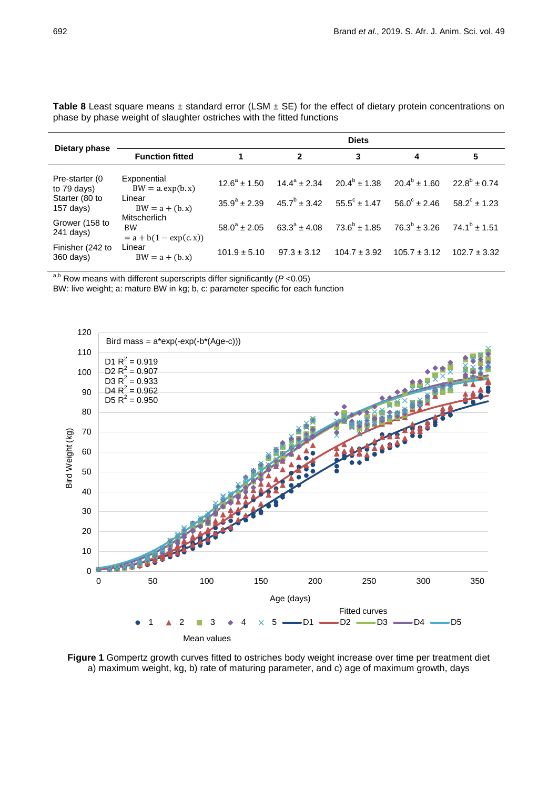|                               | <b>Diets</b>                                          |                       |                                                 |                   |                       |                       |  |  |
|-------------------------------|-------------------------------------------------------|-----------------------|-------------------------------------------------|-------------------|-----------------------|-----------------------|--|--|
| Dietary phase                 | <b>Function fitted</b>                                | 1                     | $\mathbf{2}$                                    | 3                 | 4                     | 5                     |  |  |
| Pre-starter (0<br>to 79 days) | Exponential<br>$BW = a \exp(b \cdot x)$               | $12.6^a \pm 1.50$     | $14.4^a \pm 2.34$                               | $20.4^b \pm 1.38$ | $20.4^b \pm 1.60$     | $22.8^b + 0.74$       |  |  |
| Starter (80 to<br>$157$ days) | Linear<br>$BW = a + (b.x)$                            | $35.9^{\circ} + 2.39$ | $45.7^{\circ} \pm 3.42$ $55.5^{\circ} \pm 1.47$ |                   | $56.0^{\circ}$ ± 2.46 | $58.2^{\circ}$ ± 1.23 |  |  |
| Grower (158 to<br>$241$ days) | <b>Mitscherlich</b><br>BW.<br>$= a + b(1 - exp(c.x))$ | $58.0^a \pm 2.05$     | $63.3^{\circ} \pm 4.08$                         | $73.6^b \pm 1.85$ | $76.3^b \pm 3.26$     | $74.1^b \pm 1.51$     |  |  |
| Finisher (242 to<br>360 days) | Linear<br>$BW = a + (b.x)$                            | $101.9 \pm 5.10$      | $97.3 \pm 3.12$                                 | $104.7 \pm 3.92$  | $105.7 \pm 3.12$      | $102.7 \pm 3.32$      |  |  |

Table 8 Least square means ± standard error (LSM ± SE) for the effect of dietary protein concentrations on phase by phase weight of slaughter ostriches with the fitted functions

a,b Row means with different superscripts differ significantly (*P* <0.05)

BW: live weight; a: mature BW in kg; b, c: parameter specific for each function



**Figure 1** Gompertz growth curves fitted to ostriches body weight increase over time per treatment diet a) maximum weight, kg, b) rate of maturing parameter, and c) age of maximum growth, days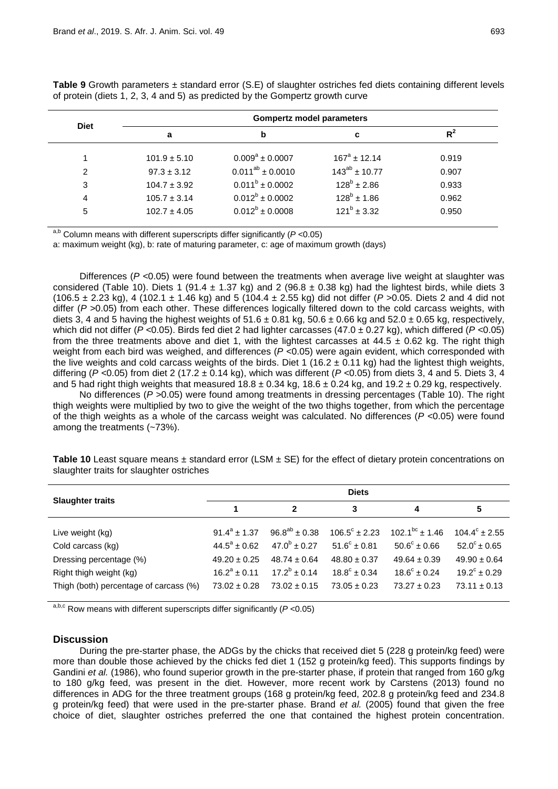|             |                  | <b>Gompertz model parameters</b> |                    |       |  |  |  |  |  |
|-------------|------------------|----------------------------------|--------------------|-------|--|--|--|--|--|
| <b>Diet</b> | a                | b                                | c                  | $R^2$ |  |  |  |  |  |
|             | $101.9 \pm 5.10$ | $0.009^a \pm 0.0007$             | $167^a \pm 12.14$  | 0.919 |  |  |  |  |  |
| 2           | $97.3 \pm 3.12$  | $0.011^{ab} \pm 0.0010$          | $143^{ab}$ ± 10.77 | 0.907 |  |  |  |  |  |
| 3           | $104.7 \pm 3.92$ | $0.011^b \pm 0.0002$             | $128^b \pm 2.86$   | 0.933 |  |  |  |  |  |
| 4           | $105.7 \pm 3.14$ | $0.012^b \pm 0.0002$             | $128^b \pm 1.86$   | 0.962 |  |  |  |  |  |
| 5           | $102.7 \pm 4.05$ | $0.012^b \pm 0.0008$             | $121^b \pm 3.32$   | 0.950 |  |  |  |  |  |
|             |                  |                                  |                    |       |  |  |  |  |  |

**Table 9** Growth parameters ± standard error (S.E) of slaughter ostriches fed diets containing different levels of protein (diets 1, 2, 3, 4 and 5) as predicted by the Gompertz growth curve

a,b Column means with different superscripts differ significantly (*P* <0.05)

a: maximum weight (kg), b: rate of maturing parameter, c: age of maximum growth (days)

Differences (*P <*0.05) were found between the treatments when average live weight at slaughter was considered (Table 10). Diets 1 (91.4  $\pm$  1.37 kg) and 2 (96.8  $\pm$  0.38 kg) had the lightest birds, while diets 3 (106.5 ± 2.23 kg), 4 (102.1 ± 1.46 kg) and 5 (104.4 ± 2.55 kg) did not differ (*P >*0.05. Diets 2 and 4 did not differ (*P >*0.05) from each other. These differences logically filtered down to the cold carcass weights, with diets 3, 4 and 5 having the highest weights of  $51.6 \pm 0.81$  kg,  $50.6 \pm 0.66$  kg and  $52.0 \pm 0.65$  kg, respectively, which did not differ (*P <*0.05). Birds fed diet 2 had lighter carcasses (47.0 ± 0.27 kg), which differed (*P <*0.05) from the three treatments above and diet 1, with the lightest carcasses at  $44.5 \pm 0.62$  kg. The right thigh weight from each bird was weighed, and differences (*P <*0.05) were again evident, which corresponded with the live weights and cold carcass weights of the birds. Diet 1 (16.2  $\pm$  0.11 kg) had the lightest thigh weights, differing (*P <*0.05) from diet 2 (17.2 ± 0.14 kg), which was different (*P <*0.05) from diets 3, 4 and 5. Diets 3, 4 and 5 had right thigh weights that measured  $18.8 \pm 0.34$  kg,  $18.6 \pm 0.24$  kg, and  $19.2 \pm 0.29$  kg, respectively.

No differences (*P >*0.05) were found among treatments in dressing percentages (Table 10). The right thigh weights were multiplied by two to give the weight of the two thighs together, from which the percentage of the thigh weights as a whole of the carcass weight was calculated. No differences (*P <*0.05) were found among the treatments (~73%).

| <b>Slaughter traits</b>                | <b>Diets</b>      |                      |                          |                         |                          |  |  |  |
|----------------------------------------|-------------------|----------------------|--------------------------|-------------------------|--------------------------|--|--|--|
|                                        |                   | $\mathbf{z}$         | 3                        | 4                       | 5                        |  |  |  |
| Live weight (kg)                       | $91.4^a + 1.37$   | $96.8^{ab} \pm 0.38$ | $106.5^{\circ} \pm 2.23$ | $102.1^{bc}$ ± 1.46     | $104.4^{\circ} \pm 2.55$ |  |  |  |
| Cold carcass (kg)                      | $44.5^a \pm 0.62$ | $47.0^b \pm 0.27$    | $51.6^{\circ} \pm 0.81$  | $50.6^{\circ} \pm 0.66$ | $52.0^{\circ}$ ± 0.65    |  |  |  |
| Dressing percentage (%)                | $49.20 \pm 0.25$  | $48.74 \pm 0.64$     | $48.80 \pm 0.37$         | $49.64 \pm 0.39$        | $49.90 \pm 0.64$         |  |  |  |
| Right thigh weight (kg)                | $16.2^a + 0.11$   | $17.2^b \pm 0.14$    | $18.8^{\circ} \pm 0.34$  | $18.6^{\circ} \pm 0.24$ | $19.2^{\circ} \pm 0.29$  |  |  |  |
| Thigh (both) percentage of carcass (%) | $73.02 \pm 0.28$  | $73.02 \pm 0.15$     | $73.05 \pm 0.23$         | $73.27 \pm 0.23$        | $73.11 \pm 0.13$         |  |  |  |

**Table 10** Least square means  $\pm$  standard error (LSM  $\pm$  SE) for the effect of dietary protein concentrations on slaughter traits for slaughter ostriches

a,b,c Row means with different superscripts differ significantly (*P* <0.05)

## **Discussion**

During the pre-starter phase, the ADGs by the chicks that received diet 5 (228 g protein/kg feed) were more than double those achieved by the chicks fed diet 1 (152 g protein/kg feed). This supports findings by Gandini *et al.* (1986), who found superior growth in the pre-starter phase, if protein that ranged from 160 g/kg to 180 g/kg feed, was present in the diet. However, more recent work by Carstens (2013) found no differences in ADG for the three treatment groups (168 g protein/kg feed, 202.8 g protein/kg feed and 234.8 g protein/kg feed) that were used in the pre-starter phase. Brand *et al.* (2005) found that given the free choice of diet, slaughter ostriches preferred the one that contained the highest protein concentration.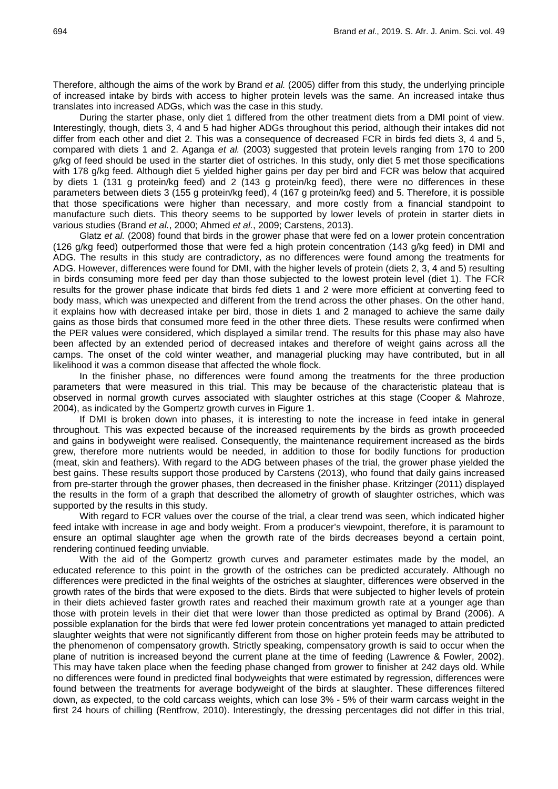Therefore, although the aims of the work by Brand *et al.* (2005) differ from this study, the underlying principle of increased intake by birds with access to higher protein levels was the same. An increased intake thus translates into increased ADGs, which was the case in this study.

During the starter phase, only diet 1 differed from the other treatment diets from a DMI point of view. Interestingly, though, diets 3, 4 and 5 had higher ADGs throughout this period, although their intakes did not differ from each other and diet 2. This was a consequence of decreased FCR in birds fed diets 3, 4 and 5, compared with diets 1 and 2. Aganga *et al.* (2003) suggested that protein levels ranging from 170 to 200 g/kg of feed should be used in the starter diet of ostriches. In this study, only diet 5 met those specifications with 178 g/kg feed. Although diet 5 yielded higher gains per day per bird and FCR was below that acquired by diets 1 (131 g protein/kg feed) and 2 (143 g protein/kg feed), there were no differences in these parameters between diets 3 (155 g protein/kg feed), 4 (167 g protein/kg feed) and 5. Therefore, it is possible that those specifications were higher than necessary, and more costly from a financial standpoint to manufacture such diets. This theory seems to be supported by lower levels of protein in starter diets in various studies (Brand *et al.*, 2000; Ahmed *et al.*, 2009; Carstens, 2013).

Glatz *et al.* (2008) found that birds in the grower phase that were fed on a lower protein concentration (126 g/kg feed) outperformed those that were fed a high protein concentration (143 g/kg feed) in DMI and ADG. The results in this study are contradictory, as no differences were found among the treatments for ADG. However, differences were found for DMI, with the higher levels of protein (diets 2, 3, 4 and 5) resulting in birds consuming more feed per day than those subjected to the lowest protein level (diet 1). The FCR results for the grower phase indicate that birds fed diets 1 and 2 were more efficient at converting feed to body mass, which was unexpected and different from the trend across the other phases. On the other hand, it explains how with decreased intake per bird, those in diets 1 and 2 managed to achieve the same daily gains as those birds that consumed more feed in the other three diets. These results were confirmed when the PER values were considered, which displayed a similar trend. The results for this phase may also have been affected by an extended period of decreased intakes and therefore of weight gains across all the camps. The onset of the cold winter weather, and managerial plucking may have contributed, but in all likelihood it was a common disease that affected the whole flock.

In the finisher phase, no differences were found among the treatments for the three production parameters that were measured in this trial. This may be because of the characteristic plateau that is observed in normal growth curves associated with slaughter ostriches at this stage (Cooper & Mahroze, 2004), as indicated by the Gompertz growth curves in Figure 1.

If DMI is broken down into phases, it is interesting to note the increase in feed intake in general throughout. This was expected because of the increased requirements by the birds as growth proceeded and gains in bodyweight were realised. Consequently, the maintenance requirement increased as the birds grew, therefore more nutrients would be needed, in addition to those for bodily functions for production (meat, skin and feathers). With regard to the ADG between phases of the trial, the grower phase yielded the best gains. These results support those produced by Carstens (2013), who found that daily gains increased from pre-starter through the grower phases, then decreased in the finisher phase. Kritzinger (2011) displayed the results in the form of a graph that described the allometry of growth of slaughter ostriches, which was supported by the results in this study.

With regard to FCR values over the course of the trial, a clear trend was seen, which indicated higher feed intake with increase in age and body weight. From a producer's viewpoint, therefore, it is paramount to ensure an optimal slaughter age when the growth rate of the birds decreases beyond a certain point, rendering continued feeding unviable.

With the aid of the Gompertz growth curves and parameter estimates made by the model, an educated reference to this point in the growth of the ostriches can be predicted accurately. Although no differences were predicted in the final weights of the ostriches at slaughter, differences were observed in the growth rates of the birds that were exposed to the diets. Birds that were subjected to higher levels of protein in their diets achieved faster growth rates and reached their maximum growth rate at a younger age than those with protein levels in their diet that were lower than those predicted as optimal by Brand (2006). A possible explanation for the birds that were fed lower protein concentrations yet managed to attain predicted slaughter weights that were not significantly different from those on higher protein feeds may be attributed to the phenomenon of compensatory growth. Strictly speaking, compensatory growth is said to occur when the plane of nutrition is increased beyond the current plane at the time of feeding (Lawrence & Fowler, 2002). This may have taken place when the feeding phase changed from grower to finisher at 242 days old. While no differences were found in predicted final bodyweights that were estimated by regression, differences were found between the treatments for average bodyweight of the birds at slaughter. These differences filtered down, as expected, to the cold carcass weights, which can lose 3% - 5% of their warm carcass weight in the first 24 hours of chilling (Rentfrow, 2010). Interestingly, the dressing percentages did not differ in this trial,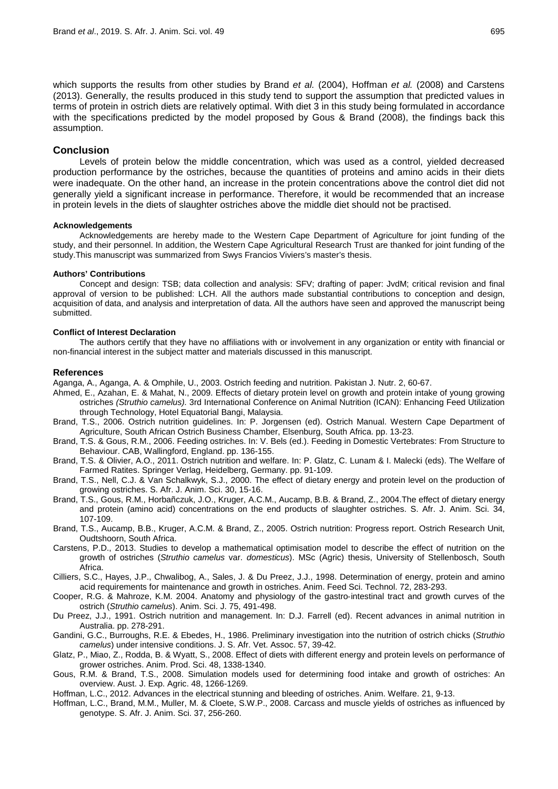which supports the results from other studies by Brand *et al.* (2004), Hoffman *et al.* (2008) and Carstens (2013). Generally, the results produced in this study tend to support the assumption that predicted values in terms of protein in ostrich diets are relatively optimal. With diet 3 in this study being formulated in accordance with the specifications predicted by the model proposed by Gous & Brand (2008), the findings back this assumption.

## **Conclusion**

Levels of protein below the middle concentration, which was used as a control, yielded decreased production performance by the ostriches, because the quantities of proteins and amino acids in their diets were inadequate. On the other hand, an increase in the protein concentrations above the control diet did not generally yield a significant increase in performance. Therefore, it would be recommended that an increase in protein levels in the diets of slaughter ostriches above the middle diet should not be practised.

#### **Acknowledgements**

Acknowledgements are hereby made to the Western Cape Department of Agriculture for joint funding of the study, and their personnel. In addition, the Western Cape Agricultural Research Trust are thanked for joint funding of the study.This manuscript was summarized from Swys Francios Viviers's master's thesis.

#### **Authors' Contributions**

Concept and design: TSB; data collection and analysis: SFV; drafting of paper: JvdM; critical revision and final approval of version to be published: LCH. All the authors made substantial contributions to conception and design, acquisition of data, and analysis and interpretation of data. All the authors have seen and approved the manuscript being submitted.

#### **Conflict of Interest Declaration**

The authors certify that they have no affiliations with or involvement in any organization or entity with financial or non-financial interest in the subject matter and materials discussed in this manuscript.

#### **References**

Aganga, A., Aganga, A. & Omphile, U., 2003. Ostrich feeding and nutrition. Pakistan J. Nutr. 2, 60-67.

- Ahmed, E., Azahan, E. & Mahat, N., 2009. Effects of dietary protein level on growth and protein intake of young growing ostriches *(Struthio camelus).* 3rd International Conference on Animal Nutrition (ICAN): Enhancing Feed Utilization through Technology, Hotel Equatorial Bangi, Malaysia.
- Brand, T.S., 2006. Ostrich nutrition guidelines. In: P. Jorgensen (ed). Ostrich Manual. Western Cape Department of Agriculture, South African Ostrich Business Chamber, Elsenburg, South Africa. pp. 13-23.
- Brand, T.S. & Gous, R.M., 2006. Feeding ostriches. In: V. Bels (ed.). Feeding in Domestic Vertebrates: From Structure to Behaviour. CAB, Wallingford, England. pp. 136-155.
- Brand, T.S. & Olivier, A.O., 2011. Ostrich nutrition and welfare. In: P. Glatz, C. Lunam & I. Malecki (eds). The Welfare of Farmed Ratites. Springer Verlag, Heidelberg, Germany. pp. 91-109.
- Brand, T.S., Nell, C.J. & Van Schalkwyk, S.J., 2000. The effect of dietary energy and protein level on the production of growing ostriches. S. Afr. J. Anim. Sci. 30, 15-16.
- Brand, T.S., Gous, R.M., Horbañczuk, J.O., Kruger, A.C.M., Aucamp, B.B. & Brand, Z., 2004.The effect of dietary energy and protein (amino acid) concentrations on the end products of slaughter ostriches. S. Afr. J. Anim. Sci. 34, 107-109.
- Brand, T.S., Aucamp, B.B., Kruger, A.C.M. & Brand, Z., 2005. Ostrich nutrition: Progress report. Ostrich Research Unit, Oudtshoorn, South Africa.
- Carstens, P.D., 2013. Studies to develop a mathematical optimisation model to describe the effect of nutrition on the growth of ostriches (*Struthio camelus* var. *domesticus*). MSc (Agric) thesis, University of Stellenbosch, South Africa.
- Cilliers, S.C., Hayes, J.P., Chwalibog, A., Sales, J. & Du Preez, J.J., 1998. Determination of energy, protein and amino acid requirements for maintenance and growth in ostriches. Anim. Feed Sci. Technol. 72, 283-293.
- Cooper, R.G. & Mahroze, K.M. 2004. Anatomy and physiology of the gastro‐intestinal tract and growth curves of the ostrich (*Struthio camelus*). Anim. Sci. J. 75, 491-498.
- Du Preez, J.J., 1991. Ostrich nutrition and management. In: D.J. Farrell (ed). Recent advances in animal nutrition in Australia. pp. 278-291.
- Gandini, G.C., Burroughs, R.E. & Ebedes, H., 1986. Preliminary investigation into the nutrition of ostrich chicks (*Struthio camelus*) under intensive conditions. J. S. Afr. Vet. Assoc. 57, 39-42.
- Glatz, P., Miao, Z., Rodda, B. & Wyatt, S., 2008. Effect of diets with different energy and protein levels on performance of grower ostriches. Anim. Prod. Sci. 48, 1338-1340.
- Gous, R.M. & Brand, T.S., 2008. Simulation models used for determining food intake and growth of ostriches: An overview. Aust. J. Exp. Agric. 48, 1266-1269.
- Hoffman, L.C., 2012. Advances in the electrical stunning and bleeding of ostriches. Anim. Welfare. 21, 9-13.
- Hoffman, L.C., Brand, M.M., Muller, M. & Cloete, S.W.P., 2008. Carcass and muscle yields of ostriches as influenced by genotype. S. Afr. J. Anim. Sci. 37, 256-260.